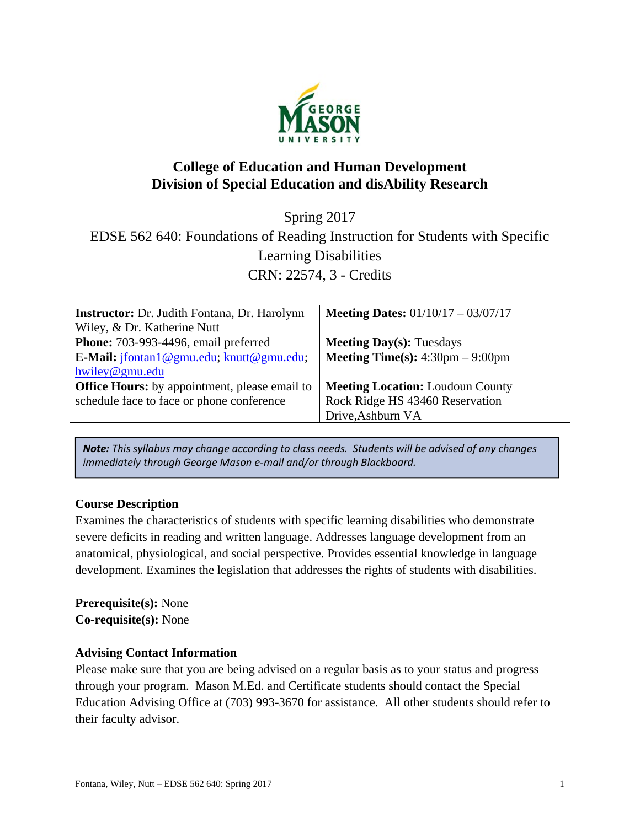

# **College of Education and Human Development Division of Special Education and disAbility Research**

Spring 2017 EDSE 562 640: Foundations of Reading Instruction for Students with Specific Learning Disabilities CRN: 22574, 3 - Credits

| <b>Instructor:</b> Dr. Judith Fontana, Dr. Harolynn        | <b>Meeting Dates:</b> $01/10/17 - 03/07/17$               |
|------------------------------------------------------------|-----------------------------------------------------------|
| Wiley, & Dr. Katherine Nutt                                |                                                           |
| Phone: 703-993-4496, email preferred                       | <b>Meeting Day(s): Tuesdays</b>                           |
| <b>E-Mail:</b> $j$ fontan 1 @ gmu.edu; $k$ nutt @ gmu.edu; | <b>Meeting Time(s):</b> $4:30 \text{pm} - 9:00 \text{pm}$ |
| hwiley@gmu.edu                                             |                                                           |
| <b>Office Hours:</b> by appointment, please email to       | <b>Meeting Location: Loudoun County</b>                   |
| schedule face to face or phone conference                  | Rock Ridge HS 43460 Reservation                           |
|                                                            | Drive, Ashburn VA                                         |

*Note: This syllabus may change according to class needs. Students will be advised of any changes immediately through George Mason e‐mail and/or through Blackboard.*

# **Course Description**

Examines the characteristics of students with specific learning disabilities who demonstrate severe deficits in reading and written language. Addresses language development from an anatomical, physiological, and social perspective. Provides essential knowledge in language development. Examines the legislation that addresses the rights of students with disabilities.

**Prerequisite(s):** None **Co-requisite(s):** None

### **Advising Contact Information**

Please make sure that you are being advised on a regular basis as to your status and progress through your program. Mason M.Ed. and Certificate students should contact the Special Education Advising Office at (703) 993-3670 for assistance. All other students should refer to their faculty advisor.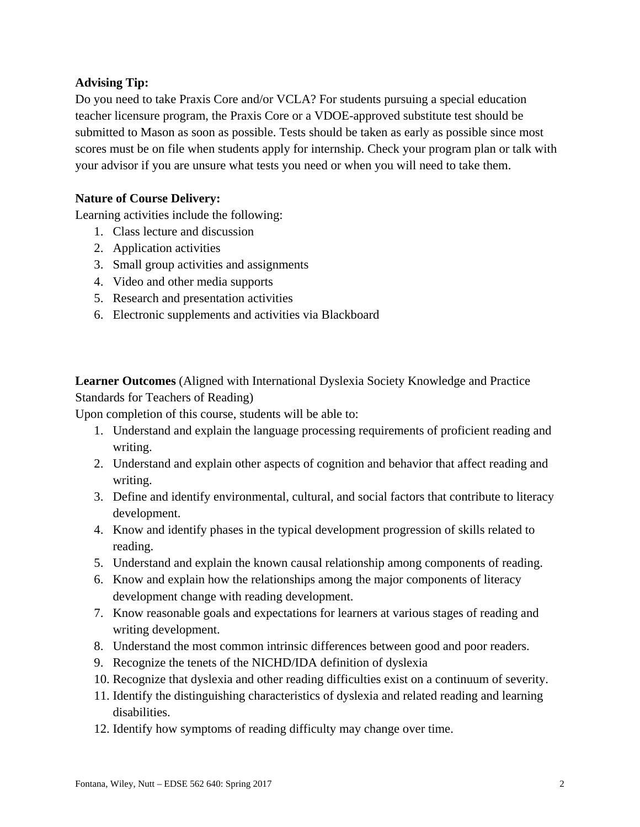# **Advising Tip:**

Do you need to take Praxis Core and/or VCLA? For students pursuing a special education teacher licensure program, the Praxis Core or a VDOE-approved substitute test should be submitted to Mason as soon as possible. Tests should be taken as early as possible since most scores must be on file when students apply for internship. Check your program plan or talk with your advisor if you are unsure what tests you need or when you will need to take them.

### **Nature of Course Delivery:**

Learning activities include the following:

- 1. Class lecture and discussion
- 2. Application activities
- 3. Small group activities and assignments
- 4. Video and other media supports
- 5. Research and presentation activities
- 6. Electronic supplements and activities via Blackboard

**Learner Outcomes** (Aligned with International Dyslexia Society Knowledge and Practice Standards for Teachers of Reading)

Upon completion of this course, students will be able to:

- 1. Understand and explain the language processing requirements of proficient reading and writing.
- 2. Understand and explain other aspects of cognition and behavior that affect reading and writing.
- 3. Define and identify environmental, cultural, and social factors that contribute to literacy development.
- 4. Know and identify phases in the typical development progression of skills related to reading.
- 5. Understand and explain the known causal relationship among components of reading.
- 6. Know and explain how the relationships among the major components of literacy development change with reading development.
- 7. Know reasonable goals and expectations for learners at various stages of reading and writing development.
- 8. Understand the most common intrinsic differences between good and poor readers.
- 9. Recognize the tenets of the NICHD/IDA definition of dyslexia
- 10. Recognize that dyslexia and other reading difficulties exist on a continuum of severity.
- 11. Identify the distinguishing characteristics of dyslexia and related reading and learning disabilities.
- 12. Identify how symptoms of reading difficulty may change over time.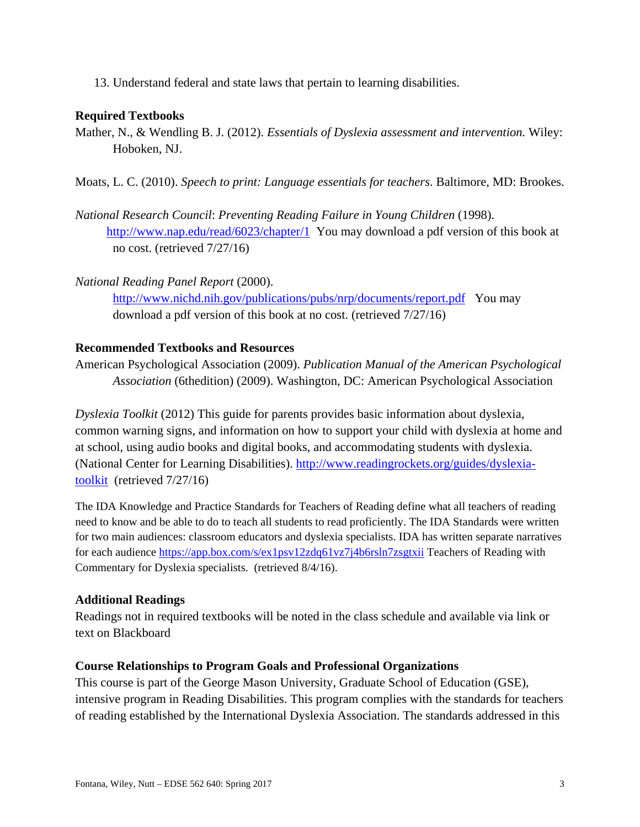13. Understand federal and state laws that pertain to learning disabilities.

### **Required Textbooks**

- Mather, N., & Wendling B. J. (2012). *Essentials of Dyslexia assessment and intervention.* Wiley: Hoboken, NJ.
- Moats, L. C. (2010). *Speech to print: Language essentials for teachers*. Baltimore, MD: Brookes.
- *National Research Council*: *Preventing Reading Failure in Young Children* (1998). http://www.nap.edu/read/6023/chapter/1 You may download a pdf version of this book at no cost. (retrieved 7/27/16)
- *National Reading Panel Report* (2000). http://www.nichd.nih.gov/publications/pubs/nrp/documents/report.pdf You may download a pdf version of this book at no cost. (retrieved 7/27/16)

### **Recommended Textbooks and Resources**

American Psychological Association (2009). *Publication Manual of the American Psychological Association* (6thedition) (2009). Washington, DC: American Psychological Association

*Dyslexia Toolkit* (2012) This guide for parents provides basic information about dyslexia, common warning signs, and information on how to support your child with dyslexia at home and at school, using audio books and digital books, and accommodating students with dyslexia. (National Center for Learning Disabilities). http://www.readingrockets.org/guides/dyslexiatoolkit (retrieved 7/27/16)

The IDA Knowledge and Practice Standards for Teachers of Reading define what all teachers of reading need to know and be able to do to teach all students to read proficiently. The IDA Standards were written for two main audiences: classroom educators and dyslexia specialists. IDA has written separate narratives for each audience https://app.box.com/s/ex1psv12zdq61vz7j4b6rsln7zsgtxii Teachers of Reading with Commentary for Dyslexia specialists. (retrieved 8/4/16).

# **Additional Readings**

Readings not in required textbooks will be noted in the class schedule and available via link or text on Blackboard

### **Course Relationships to Program Goals and Professional Organizations**

This course is part of the George Mason University, Graduate School of Education (GSE), intensive program in Reading Disabilities. This program complies with the standards for teachers of reading established by the International Dyslexia Association. The standards addressed in this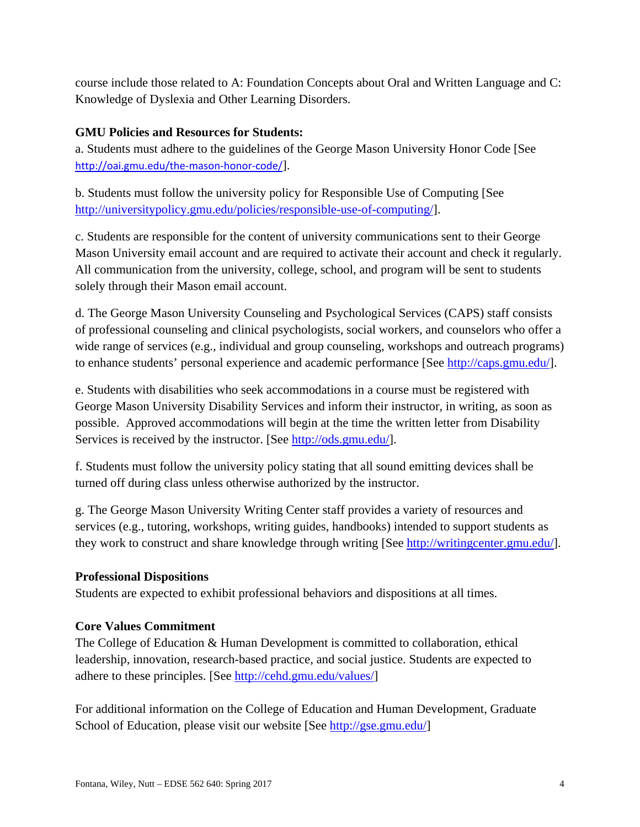course include those related to A: Foundation Concepts about Oral and Written Language and C: Knowledge of Dyslexia and Other Learning Disorders.

# **GMU Policies and Resources for Students:**

a. Students must adhere to the guidelines of the George Mason University Honor Code [See http://oai.gmu.edu/the-mason-honor-code/].

b. Students must follow the university policy for Responsible Use of Computing [See http://universitypolicy.gmu.edu/policies/responsible-use-of-computing/].

c. Students are responsible for the content of university communications sent to their George Mason University email account and are required to activate their account and check it regularly. All communication from the university, college, school, and program will be sent to students solely through their Mason email account.

d. The George Mason University Counseling and Psychological Services (CAPS) staff consists of professional counseling and clinical psychologists, social workers, and counselors who offer a wide range of services (e.g., individual and group counseling, workshops and outreach programs) to enhance students' personal experience and academic performance [See http://caps.gmu.edu/].

e. Students with disabilities who seek accommodations in a course must be registered with George Mason University Disability Services and inform their instructor, in writing, as soon as possible. Approved accommodations will begin at the time the written letter from Disability Services is received by the instructor. [See http://ods.gmu.edu/].

f. Students must follow the university policy stating that all sound emitting devices shall be turned off during class unless otherwise authorized by the instructor.

g. The George Mason University Writing Center staff provides a variety of resources and services (e.g., tutoring, workshops, writing guides, handbooks) intended to support students as they work to construct and share knowledge through writing [See http://writingcenter.gmu.edu/].

# **Professional Dispositions**

Students are expected to exhibit professional behaviors and dispositions at all times.

# **Core Values Commitment**

The College of Education & Human Development is committed to collaboration, ethical leadership, innovation, research-based practice, and social justice. Students are expected to adhere to these principles. [See http://cehd.gmu.edu/values/]

For additional information on the College of Education and Human Development, Graduate School of Education, please visit our website [See http://gse.gmu.edu/]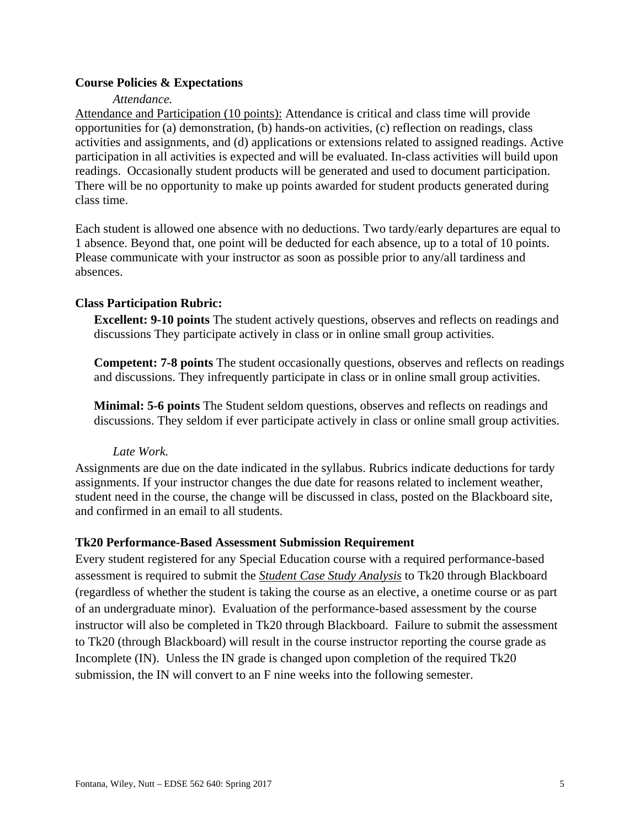### **Course Policies & Expectations**

#### *Attendance.*

Attendance and Participation (10 points): Attendance is critical and class time will provide opportunities for (a) demonstration, (b) hands-on activities, (c) reflection on readings, class activities and assignments, and (d) applications or extensions related to assigned readings. Active participation in all activities is expected and will be evaluated. In-class activities will build upon readings. Occasionally student products will be generated and used to document participation. There will be no opportunity to make up points awarded for student products generated during class time.

Each student is allowed one absence with no deductions. Two tardy/early departures are equal to 1 absence. Beyond that, one point will be deducted for each absence, up to a total of 10 points. Please communicate with your instructor as soon as possible prior to any/all tardiness and absences.

#### **Class Participation Rubric:**

**Excellent: 9-10 points** The student actively questions, observes and reflects on readings and discussions They participate actively in class or in online small group activities.

**Competent: 7-8 points** The student occasionally questions, observes and reflects on readings and discussions. They infrequently participate in class or in online small group activities.

**Minimal: 5-6 points** The Student seldom questions, observes and reflects on readings and discussions. They seldom if ever participate actively in class or online small group activities.

#### *Late Work.*

Assignments are due on the date indicated in the syllabus. Rubrics indicate deductions for tardy assignments. If your instructor changes the due date for reasons related to inclement weather, student need in the course, the change will be discussed in class, posted on the Blackboard site, and confirmed in an email to all students.

#### **Tk20 Performance-Based Assessment Submission Requirement**

Every student registered for any Special Education course with a required performance-based assessment is required to submit the *Student Case Study Analysis* to Tk20 through Blackboard (regardless of whether the student is taking the course as an elective, a onetime course or as part of an undergraduate minor). Evaluation of the performance-based assessment by the course instructor will also be completed in Tk20 through Blackboard. Failure to submit the assessment to Tk20 (through Blackboard) will result in the course instructor reporting the course grade as Incomplete (IN). Unless the IN grade is changed upon completion of the required Tk20 submission, the IN will convert to an F nine weeks into the following semester.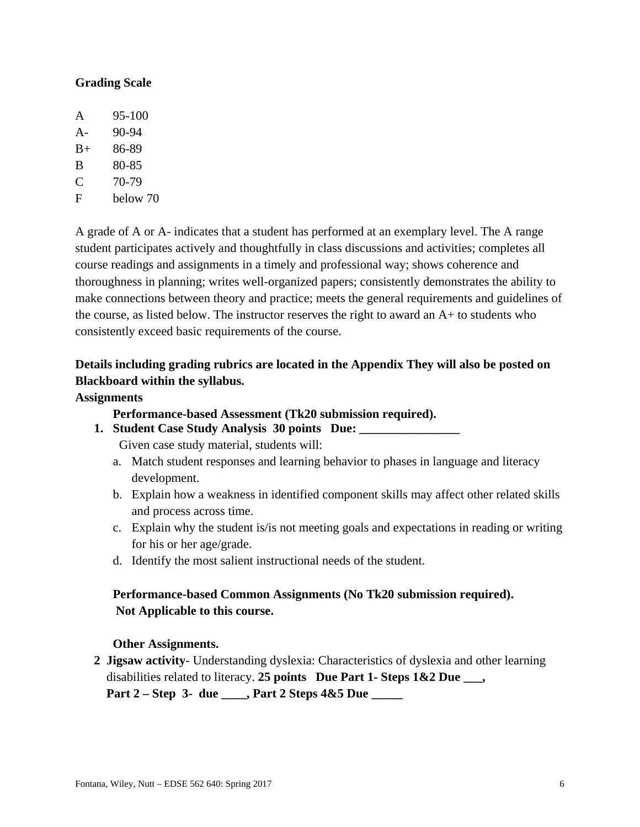### **Grading Scale**

| A     | $95 - 100$ |
|-------|------------|
| $A -$ | 90-94      |
| $B+$  | 86-89      |
| B     | 80-85      |
| C     | 70-79      |
| F     | below 70   |

A grade of A or A- indicates that a student has performed at an exemplary level. The A range student participates actively and thoughtfully in class discussions and activities; completes all course readings and assignments in a timely and professional way; shows coherence and thoroughness in planning; writes well-organized papers; consistently demonstrates the ability to make connections between theory and practice; meets the general requirements and guidelines of the course, as listed below. The instructor reserves the right to award an A+ to students who consistently exceed basic requirements of the course.

# **Details including grading rubrics are located in the Appendix They will also be posted on Blackboard within the syllabus.**

#### **Assignments**

 **Performance-based Assessment (Tk20 submission required).**

**1. Student Case Study Analysis 30 points Due: \_\_\_\_\_\_\_\_\_\_\_\_\_\_\_\_** 

Given case study material, students will:

- a. Match student responses and learning behavior to phases in language and literacy development.
- b. Explain how a weakness in identified component skills may affect other related skills and process across time.
- c. Explain why the student is/is not meeting goals and expectations in reading or writing for his or her age/grade.
- d. Identify the most salient instructional needs of the student.

# **Performance-based Common Assignments (No Tk20 submission required). Not Applicable to this course.**

#### **Other Assignments.**

 **2 Jigsaw activity**- Understanding dyslexia: Characteristics of dyslexia and other learning disabilities related to literacy. **25 points Due Part 1- Steps 1&2 Due \_\_\_, Part 2 – Step 3- due \_\_\_\_, Part 2 Steps 4&5 Due \_\_\_\_\_**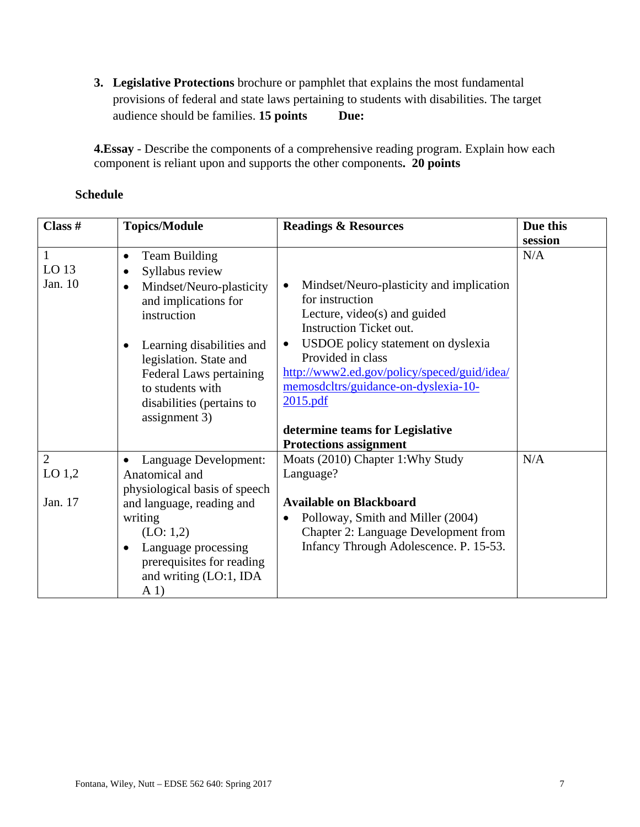**3. Legislative Protections** brochure or pamphlet that explains the most fundamental provisions of federal and state laws pertaining to students with disabilities. The target audience should be families. **15 points** Due:

**4.Essay** - Describe the components of a comprehensive reading program. Explain how each component is reliant upon and supports the other components**. 20 points** 

### **Schedule**

| Class #                                     | <b>Topics/Module</b>                                                                                                                                                                                                                                                                                  | <b>Readings &amp; Resources</b>                                                                                                                                                                                                                                                                                                                                                           | Due this |
|---------------------------------------------|-------------------------------------------------------------------------------------------------------------------------------------------------------------------------------------------------------------------------------------------------------------------------------------------------------|-------------------------------------------------------------------------------------------------------------------------------------------------------------------------------------------------------------------------------------------------------------------------------------------------------------------------------------------------------------------------------------------|----------|
|                                             |                                                                                                                                                                                                                                                                                                       |                                                                                                                                                                                                                                                                                                                                                                                           | session  |
| $\mathbf{1}$<br>LO <sub>13</sub><br>Jan. 10 | <b>Team Building</b><br>$\bullet$<br>Syllabus review<br>$\bullet$<br>Mindset/Neuro-plasticity<br>$\bullet$<br>and implications for<br>instruction<br>Learning disabilities and<br>legislation. State and<br>Federal Laws pertaining<br>to students with<br>disabilities (pertains to<br>assignment 3) | Mindset/Neuro-plasticity and implication<br>$\bullet$<br>for instruction<br>Lecture, video(s) and guided<br><b>Instruction Ticket out.</b><br>USDOE policy statement on dyslexia<br>$\bullet$<br>Provided in class<br>http://www2.ed.gov/policy/speced/guid/idea/<br>memosdcltrs/guidance-on-dyslexia-10-<br>2015.pdf<br>determine teams for Legislative<br><b>Protections assignment</b> | N/A      |
| $\overline{2}$<br>$LO$ 1,2                  | Language Development:<br>Anatomical and                                                                                                                                                                                                                                                               | Moats (2010) Chapter 1: Why Study<br>Language?                                                                                                                                                                                                                                                                                                                                            | N/A      |
|                                             | physiological basis of speech                                                                                                                                                                                                                                                                         |                                                                                                                                                                                                                                                                                                                                                                                           |          |
| Jan. 17                                     | and language, reading and<br>writing<br>(LO: 1,2)<br>Language processing<br>prerequisites for reading<br>and writing (LO:1, IDA<br>A <sub>1</sub>                                                                                                                                                     | <b>Available on Blackboard</b><br>Polloway, Smith and Miller (2004)<br>$\bullet$<br><b>Chapter 2: Language Development from</b><br>Infancy Through Adolescence. P. 15-53.                                                                                                                                                                                                                 |          |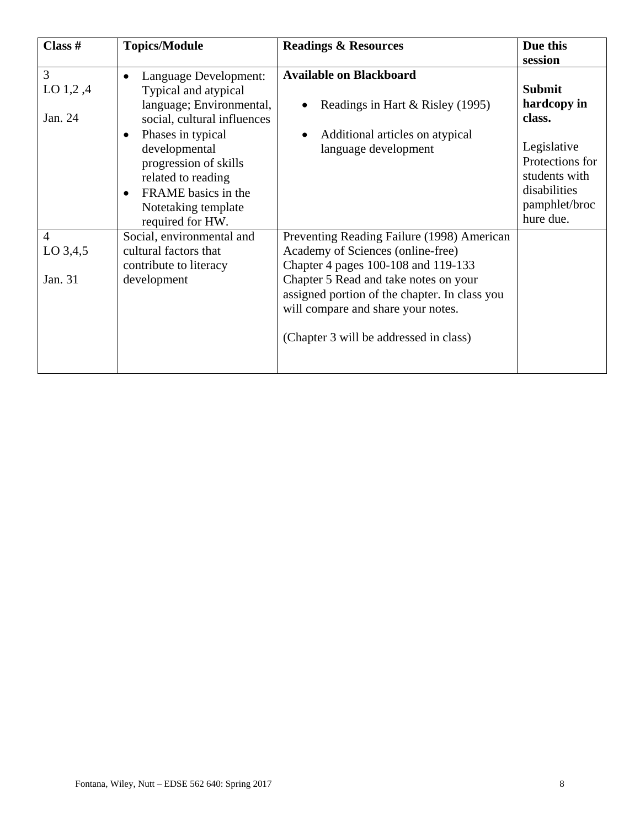| Class $#$                               | <b>Topics/Module</b>                                                                                                                                                                                                                                                                                   | <b>Readings &amp; Resources</b>                                                                                                                                                                                                                                                                  | Due this<br>session                                                                                                                     |
|-----------------------------------------|--------------------------------------------------------------------------------------------------------------------------------------------------------------------------------------------------------------------------------------------------------------------------------------------------------|--------------------------------------------------------------------------------------------------------------------------------------------------------------------------------------------------------------------------------------------------------------------------------------------------|-----------------------------------------------------------------------------------------------------------------------------------------|
| 3<br>LO $1,2,4$<br>Jan. 24              | Language Development:<br>$\bullet$<br>Typical and atypical<br>language; Environmental,<br>social, cultural influences<br>Phases in typical<br>$\bullet$<br>developmental<br>progression of skills<br>related to reading<br>FRAME basics in the<br>$\bullet$<br>Notetaking template<br>required for HW. | <b>Available on Blackboard</b><br>Readings in Hart & Risley (1995)<br>Additional articles on atypical<br>language development                                                                                                                                                                    | <b>Submit</b><br>hardcopy in<br>class.<br>Legislative<br>Protections for<br>students with<br>disabilities<br>pamphlet/broc<br>hure due. |
| $\overline{4}$<br>$LO$ 3,4,5<br>Jan. 31 | Social, environmental and<br>cultural factors that<br>contribute to literacy<br>development                                                                                                                                                                                                            | Preventing Reading Failure (1998) American<br>Academy of Sciences (online-free)<br>Chapter 4 pages 100-108 and 119-133<br>Chapter 5 Read and take notes on your<br>assigned portion of the chapter. In class you<br>will compare and share your notes.<br>(Chapter 3 will be addressed in class) |                                                                                                                                         |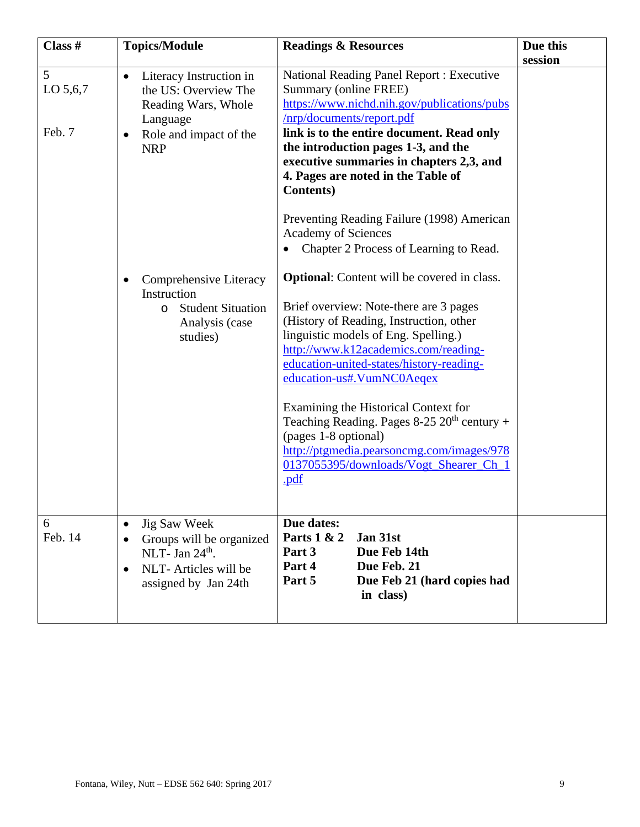| Class #                 | <b>Topics/Module</b>                                                                                                                                                                                                                                  | <b>Readings &amp; Resources</b>                                                                                                                                                                                                                                                                                                                                                                                                                                                                                                                                                                                                                                                                                                                                                                                                                                                                                                                                                      | Due this |
|-------------------------|-------------------------------------------------------------------------------------------------------------------------------------------------------------------------------------------------------------------------------------------------------|--------------------------------------------------------------------------------------------------------------------------------------------------------------------------------------------------------------------------------------------------------------------------------------------------------------------------------------------------------------------------------------------------------------------------------------------------------------------------------------------------------------------------------------------------------------------------------------------------------------------------------------------------------------------------------------------------------------------------------------------------------------------------------------------------------------------------------------------------------------------------------------------------------------------------------------------------------------------------------------|----------|
| 5<br>LO 5,6,7<br>Feb. 7 | Literacy Instruction in<br>$\bullet$<br>the US: Overview The<br>Reading Wars, Whole<br>Language<br>Role and impact of the<br><b>NRP</b><br>Comprehensive Literacy<br>Instruction<br><b>Student Situation</b><br>$\circ$<br>Analysis (case<br>studies) | <b>National Reading Panel Report: Executive</b><br>Summary (online FREE)<br>https://www.nichd.nih.gov/publications/pubs<br>/nrp/documents/report.pdf<br>link is to the entire document. Read only<br>the introduction pages 1-3, and the<br>executive summaries in chapters 2,3, and<br>4. Pages are noted in the Table of<br><b>Contents</b> )<br>Preventing Reading Failure (1998) American<br>Academy of Sciences<br>Chapter 2 Process of Learning to Read.<br><b>Optional:</b> Content will be covered in class.<br>Brief overview: Note-there are 3 pages<br>(History of Reading, Instruction, other<br>linguistic models of Eng. Spelling.)<br>http://www.k12academics.com/reading-<br>education-united-states/history-reading-<br>education-us#.VumNC0Aeqex<br>Examining the Historical Context for<br>Teaching Reading. Pages $8-25$ $20th$ century +<br>(pages 1-8 optional)<br>http://ptgmedia.pearsoncmg.com/images/978<br>0137055395/downloads/Vogt_Shearer_Ch_1<br>.pdf | session  |
| 6<br>Feb. 14            | <b>Jig Saw Week</b><br>Groups will be organized<br>NLT- Jan $24th$ .<br>NLT- Articles will be<br>assigned by Jan 24th                                                                                                                                 | Due dates:<br>Parts 1 & 2<br>Jan 31st<br>Due Feb 14th<br>Part 3<br>Part 4<br>Due Feb. 21<br>Part 5<br>Due Feb 21 (hard copies had<br>in class)                                                                                                                                                                                                                                                                                                                                                                                                                                                                                                                                                                                                                                                                                                                                                                                                                                       |          |
|                         |                                                                                                                                                                                                                                                       |                                                                                                                                                                                                                                                                                                                                                                                                                                                                                                                                                                                                                                                                                                                                                                                                                                                                                                                                                                                      |          |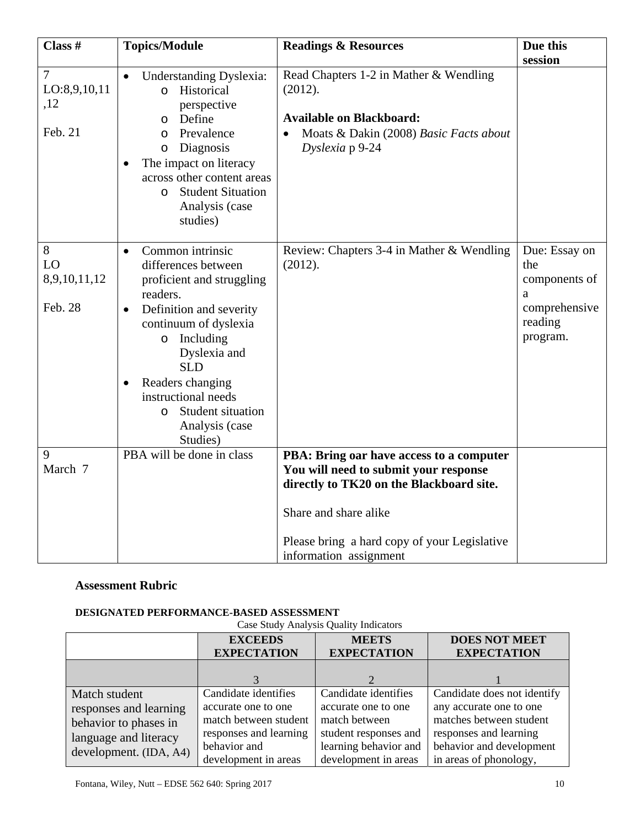| Class #                                          | <b>Topics/Module</b>                                                                                                                                                                                                                                                                                              | <b>Readings &amp; Resources</b>                                                                                                                                                                                                  | Due this<br>session                                                                |
|--------------------------------------------------|-------------------------------------------------------------------------------------------------------------------------------------------------------------------------------------------------------------------------------------------------------------------------------------------------------------------|----------------------------------------------------------------------------------------------------------------------------------------------------------------------------------------------------------------------------------|------------------------------------------------------------------------------------|
| $\overline{7}$<br>LO:8,9,10,11<br>,12<br>Feb. 21 | <b>Understanding Dyslexia:</b><br>Historical<br>$\Omega$<br>perspective<br>Define<br>$\Omega$<br>Prevalence<br>$\circ$<br>Diagnosis<br>$\circ$<br>The impact on literacy<br>across other content areas<br><b>Student Situation</b><br>$\Omega$<br>Analysis (case<br>studies)                                      | Read Chapters 1-2 in Mather & Wendling<br>(2012).<br><b>Available on Blackboard:</b><br>Moats & Dakin (2008) Basic Facts about<br>Dyslexia p 9-24                                                                                |                                                                                    |
| 8<br>LO<br>8,9,10,11,12<br>Feb. 28               | Common intrinsic<br>$\bullet$<br>differences between<br>proficient and struggling<br>readers.<br>Definition and severity<br>continuum of dyslexia<br>Including<br>$\circ$<br>Dyslexia and<br><b>SLD</b><br>Readers changing<br>instructional needs<br>Student situation<br>$\Omega$<br>Analysis (case<br>Studies) | Review: Chapters 3-4 in Mather & Wendling<br>(2012).                                                                                                                                                                             | Due: Essay on<br>the<br>components of<br>a<br>comprehensive<br>reading<br>program. |
| 9<br>March 7                                     | PBA will be done in class                                                                                                                                                                                                                                                                                         | PBA: Bring oar have access to a computer<br>You will need to submit your response<br>directly to TK20 on the Blackboard site.<br>Share and share alike<br>Please bring a hard copy of your Legislative<br>information assignment |                                                                                    |

# **Assessment Rubric**

#### **DESIGNATED PERFORMANCE-BASED ASSESSMENT**

| Case Study Analysis Quality Indicators |                        |                       |                             |
|----------------------------------------|------------------------|-----------------------|-----------------------------|
|                                        | <b>EXCEEDS</b>         | <b>MEETS</b>          | <b>DOES NOT MEET</b>        |
|                                        | <b>EXPECTATION</b>     | <b>EXPECTATION</b>    | <b>EXPECTATION</b>          |
|                                        |                        |                       |                             |
|                                        |                        |                       |                             |
| Match student                          | Candidate identifies   | Candidate identifies  | Candidate does not identify |
| responses and learning                 | accurate one to one    | accurate one to one   | any accurate one to one     |
| behavior to phases in                  | match between student  | match between         | matches between student     |
| language and literacy                  | responses and learning | student responses and | responses and learning      |
| development. (IDA, A4)                 | behavior and           | learning behavior and | behavior and development    |
|                                        | development in areas   | development in areas  | in areas of phonology,      |

Case Study Analysis Quality Indicators